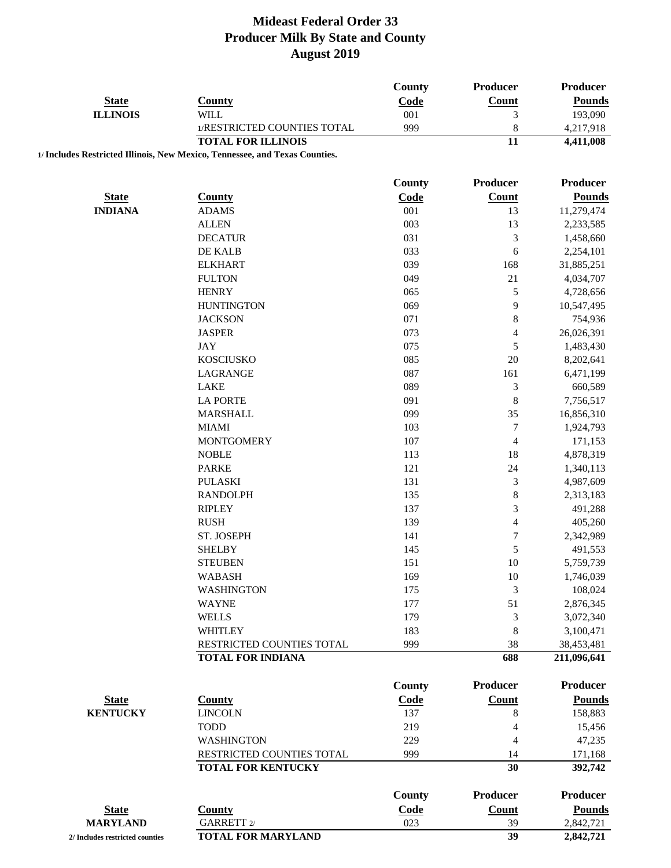| <b>State</b><br><b>ILLINOIS</b> | <b>County</b><br><b>WILL</b>                                                | County<br>Code<br>001 | Producer<br>Count<br>3 | Producer<br><b>Pounds</b><br>193,090 |
|---------------------------------|-----------------------------------------------------------------------------|-----------------------|------------------------|--------------------------------------|
|                                 | 1/RESTRICTED COUNTIES TOTAL                                                 | 999                   | 8                      | 4,217,918                            |
|                                 | <b>TOTAL FOR ILLINOIS</b>                                                   |                       | 11                     | 4,411,008                            |
|                                 | 1/ Includes Restricted Illinois, New Mexico, Tennessee, and Texas Counties. |                       |                        |                                      |
|                                 |                                                                             | County                | Producer               | Producer                             |
| <b>State</b>                    | <b>County</b>                                                               | Code                  | <b>Count</b>           | <b>Pounds</b>                        |
| <b>INDIANA</b>                  | <b>ADAMS</b>                                                                | 001                   | 13                     | 11,279,474                           |
|                                 | <b>ALLEN</b>                                                                | 003                   | 13                     | 2,233,585                            |
|                                 | <b>DECATUR</b>                                                              | 031                   | 3                      | 1,458,660                            |
|                                 | DE KALB                                                                     | 033                   | 6                      | 2,254,101                            |
|                                 | <b>ELKHART</b>                                                              | 039                   | 168                    | 31,885,251                           |
|                                 | <b>FULTON</b>                                                               | 049                   | 21                     | 4,034,707                            |
|                                 | <b>HENRY</b>                                                                | 065                   | 5                      | 4,728,656                            |
|                                 | <b>HUNTINGTON</b>                                                           | 069                   | 9                      | 10,547,495                           |
|                                 | <b>JACKSON</b>                                                              | 071                   | $\,8\,$                | 754,936                              |
|                                 | <b>JASPER</b>                                                               | 073                   | $\overline{4}$         | 26,026,391                           |
|                                 | <b>JAY</b>                                                                  | 075                   | 5                      | 1,483,430                            |
|                                 | <b>KOSCIUSKO</b>                                                            | 085                   | 20                     | 8,202,641                            |
|                                 | LAGRANGE                                                                    | 087                   | 161                    | 6,471,199                            |
|                                 | <b>LAKE</b>                                                                 | 089                   | $\mathfrak{Z}$         | 660,589                              |
|                                 | <b>LA PORTE</b>                                                             | 091                   | $\,$ 8 $\,$            | 7,756,517                            |
|                                 | <b>MARSHALL</b>                                                             | 099                   | 35                     | 16,856,310                           |
|                                 | <b>MIAMI</b>                                                                | 103                   | $\boldsymbol{7}$       | 1,924,793                            |
|                                 | <b>MONTGOMERY</b>                                                           | 107                   | $\overline{4}$         | 171,153                              |
|                                 | <b>NOBLE</b>                                                                | 113                   | 18                     | 4,878,319                            |
|                                 | <b>PARKE</b>                                                                | 121                   | 24                     | 1,340,113                            |
|                                 | <b>PULASKI</b>                                                              | 131                   | 3                      | 4,987,609                            |
|                                 | <b>RANDOLPH</b>                                                             | 135                   | $\,$ 8 $\,$            | 2,313,183                            |
|                                 | <b>RIPLEY</b>                                                               | 137                   | 3                      | 491,288                              |
|                                 | <b>RUSH</b>                                                                 | 139                   | $\overline{4}$         | 405,260                              |
|                                 | ST. JOSEPH                                                                  | 141                   | $\overline{7}$         | 2,342,989                            |
|                                 | <b>SHELBY</b>                                                               | 145                   | 5                      | 491,553                              |
|                                 | <b>STEUBEN</b>                                                              | 151                   | 10                     | 5,759,739                            |
|                                 | <b>WABASH</b>                                                               | 169                   | 10                     | 1,746,039                            |
|                                 | <b>WASHINGTON</b>                                                           | 175                   | 3                      | 108,024                              |
|                                 | <b>WAYNE</b>                                                                | 177                   | 51                     | 2,876,345                            |
|                                 | <b>WELLS</b>                                                                | 179                   | 3                      | 3,072,340                            |
|                                 | WHITLEY                                                                     | 183                   | 8                      | 3,100,471                            |
|                                 | RESTRICTED COUNTIES TOTAL                                                   | 999                   | 38                     | 38,453,481                           |
|                                 | <b>TOTAL FOR INDIANA</b>                                                    |                       | 688                    | 211,096,641                          |
|                                 |                                                                             | <b>County</b>         | Producer               | <b>Producer</b>                      |
| <b>State</b>                    | <b>County</b>                                                               | Code                  | Count                  | <b>Pounds</b>                        |
| <b>KENTUCKY</b>                 | <b>LINCOLN</b>                                                              | 137                   | 8                      | 158,883                              |
|                                 | <b>TODD</b>                                                                 | 219                   | 4                      | 15,456                               |
|                                 | <b>WASHINGTON</b>                                                           | 229                   | $\overline{4}$         | 47,235                               |
|                                 | RESTRICTED COUNTIES TOTAL                                                   | 999                   | 14                     | 171,168                              |
|                                 | <b>TOTAL FOR KENTUCKY</b>                                                   |                       | 30                     | 392,742                              |
|                                 |                                                                             | County                | Producer               | <b>Producer</b>                      |
| <b>State</b>                    | <b>County</b>                                                               | Code                  | <b>Count</b>           | <b>Pounds</b>                        |
| <b>MARYLAND</b>                 | GARRETT 2/                                                                  | 023                   | 39                     | 2,842,721                            |
| 2/ Includes restricted counties | <b>TOTAL FOR MARYLAND</b>                                                   |                       | 39                     | 2,842,721                            |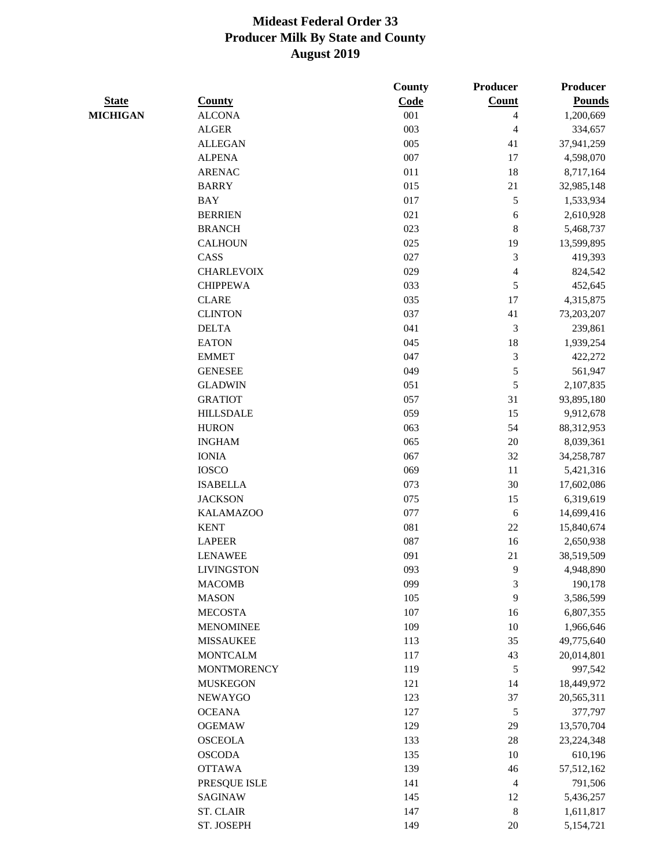|                 |                    | <b>County</b> | Producer                 | Producer      |
|-----------------|--------------------|---------------|--------------------------|---------------|
| <b>State</b>    | <b>County</b>      | Code          | Count                    | <b>Pounds</b> |
| <b>MICHIGAN</b> | <b>ALCONA</b>      | 001           | 4                        | 1,200,669     |
|                 | <b>ALGER</b>       | 003           | $\overline{4}$           | 334,657       |
|                 | <b>ALLEGAN</b>     | 005           | 41                       | 37,941,259    |
|                 | <b>ALPENA</b>      | 007           | 17                       | 4,598,070     |
|                 | <b>ARENAC</b>      | 011           | 18                       | 8,717,164     |
|                 | <b>BARRY</b>       | 015           | $21\,$                   | 32,985,148    |
|                 | <b>BAY</b>         | 017           | $\sqrt{5}$               | 1,533,934     |
|                 | <b>BERRIEN</b>     | 021           | 6                        | 2,610,928     |
|                 | <b>BRANCH</b>      | 023           | $\,8\,$                  | 5,468,737     |
|                 | <b>CALHOUN</b>     | 025           | 19                       | 13,599,895    |
|                 | CASS               | 027           | 3                        | 419,393       |
|                 | <b>CHARLEVOIX</b>  | 029           | $\overline{\mathcal{L}}$ | 824,542       |
|                 | <b>CHIPPEWA</b>    | 033           | 5                        | 452,645       |
|                 | <b>CLARE</b>       | 035           | 17                       | 4,315,875     |
|                 | <b>CLINTON</b>     | 037           | 41                       | 73,203,207    |
|                 | <b>DELTA</b>       | 041           | 3                        | 239,861       |
|                 | <b>EATON</b>       | 045           | 18                       | 1,939,254     |
|                 | <b>EMMET</b>       | 047           | $\mathfrak{Z}$           | 422,272       |
|                 | <b>GENESEE</b>     | 049           | $\sqrt{5}$               | 561,947       |
|                 | <b>GLADWIN</b>     | 051           | 5                        | 2,107,835     |
|                 | <b>GRATIOT</b>     | 057           | 31                       | 93,895,180    |
|                 | <b>HILLSDALE</b>   | 059           | 15                       | 9,912,678     |
|                 | <b>HURON</b>       | 063           | 54                       | 88,312,953    |
|                 | <b>INGHAM</b>      | 065           | 20                       | 8,039,361     |
|                 | <b>IONIA</b>       | 067           | 32                       | 34,258,787    |
|                 | <b>IOSCO</b>       | 069           | 11                       | 5,421,316     |
|                 | <b>ISABELLA</b>    | 073           | 30                       | 17,602,086    |
|                 | <b>JACKSON</b>     | 075           | 15                       | 6,319,619     |
|                 | <b>KALAMAZOO</b>   | 077           | 6                        | 14,699,416    |
|                 | <b>KENT</b>        | 081           | $22\,$                   | 15,840,674    |
|                 | <b>LAPEER</b>      | 087           | 16                       | 2,650,938     |
|                 | <b>LENAWEE</b>     | 091           | 21                       | 38,519,509    |
|                 | <b>LIVINGSTON</b>  | 093           | 9                        | 4,948,890     |
|                 | <b>MACOMB</b>      | 099           | 3                        | 190,178       |
|                 | <b>MASON</b>       | 105           | 9                        | 3,586,599     |
|                 | <b>MECOSTA</b>     | 107           | 16                       | 6,807,355     |
|                 | <b>MENOMINEE</b>   | 109           | 10                       | 1,966,646     |
|                 | <b>MISSAUKEE</b>   | 113           | 35                       | 49,775,640    |
|                 | <b>MONTCALM</b>    | 117           |                          | 20,014,801    |
|                 |                    | 119           | 43<br>$\sqrt{5}$         |               |
|                 | <b>MONTMORENCY</b> |               |                          | 997,542       |
|                 | <b>MUSKEGON</b>    | 121           | 14                       | 18,449,972    |
|                 | <b>NEWAYGO</b>     | 123           | 37                       | 20,565,311    |
|                 | <b>OCEANA</b>      | 127           | $\sqrt{5}$               | 377,797       |
|                 | <b>OGEMAW</b>      | 129           | 29                       | 13,570,704    |
|                 | <b>OSCEOLA</b>     | 133           | $28\,$                   | 23,224,348    |
|                 | <b>OSCODA</b>      | 135           | 10                       | 610,196       |
|                 | <b>OTTAWA</b>      | 139           | 46                       | 57,512,162    |
|                 | PRESQUE ISLE       | 141           | 4                        | 791,506       |
|                 | <b>SAGINAW</b>     | 145           | 12                       | 5,436,257     |
|                 | <b>ST. CLAIR</b>   | 147           | $\,8\,$                  | 1,611,817     |
|                 | ST. JOSEPH         | 149           | 20                       | 5,154,721     |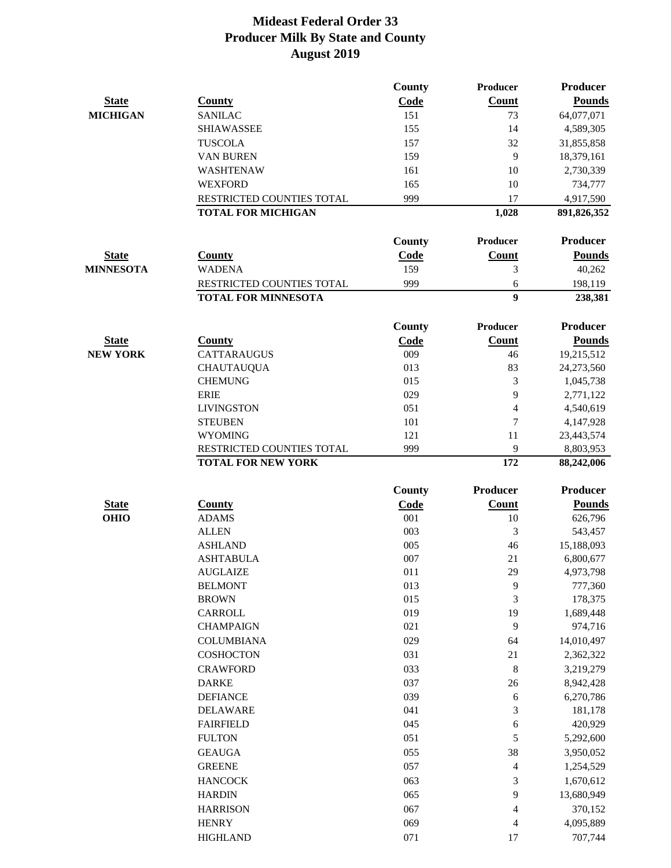|                             |                                                        | <b>County</b> | <b>Producer</b>          | <b>Producer</b>         |
|-----------------------------|--------------------------------------------------------|---------------|--------------------------|-------------------------|
| <b>State</b>                | <b>County</b>                                          | Code          | Count                    | <b>Pounds</b>           |
| <b>MICHIGAN</b>             | <b>SANILAC</b>                                         | 151           | 73                       | 64,077,071              |
|                             | <b>SHIAWASSEE</b>                                      | 155           | 14                       | 4,589,305               |
|                             | <b>TUSCOLA</b>                                         | 157           | 32                       | 31,855,858              |
|                             | <b>VAN BUREN</b>                                       | 159           | 9                        | 18,379,161              |
|                             | WASHTENAW                                              | 161           | 10                       | 2,730,339               |
|                             | <b>WEXFORD</b>                                         | 165           | 10                       | 734,777                 |
|                             | RESTRICTED COUNTIES TOTAL                              | 999           | 17                       | 4,917,590               |
|                             | <b>TOTAL FOR MICHIGAN</b>                              |               | 1,028                    | 891,826,352             |
|                             |                                                        | <b>County</b> | <b>Producer</b>          | <b>Producer</b>         |
| <b>State</b>                | <b>County</b>                                          | <b>Code</b>   | <b>Count</b>             | <b>Pounds</b>           |
| <b>MINNESOTA</b>            | <b>WADENA</b>                                          | 159           | 3                        | 40,262                  |
|                             | RESTRICTED COUNTIES TOTAL                              | 999           | 6                        | 198,119                 |
|                             | <b>TOTAL FOR MINNESOTA</b>                             |               | 9                        | 238,381                 |
|                             |                                                        |               |                          | <b>Producer</b>         |
|                             |                                                        | <b>County</b> | <b>Producer</b>          |                         |
| <b>State</b>                | <b>County</b>                                          | Code          | Count                    | <b>Pounds</b>           |
| <b>NEW YORK</b>             | <b>CATTARAUGUS</b>                                     | 009           | 46                       | 19,215,512              |
|                             | <b>CHAUTAUQUA</b>                                      | 013           | 83                       | 24,273,560              |
|                             | <b>CHEMUNG</b>                                         | 015           | 3                        | 1,045,738               |
|                             | <b>ERIE</b>                                            | 029           | 9                        | 2,771,122               |
|                             | <b>LIVINGSTON</b>                                      | 051           | $\overline{4}$           | 4,540,619               |
|                             | <b>STEUBEN</b>                                         | 101           | 7                        | 4,147,928               |
|                             | <b>WYOMING</b>                                         | 121           | 11                       | 23,443,574              |
|                             | RESTRICTED COUNTIES TOTAL<br><b>TOTAL FOR NEW YORK</b> | 999           | 9<br>172                 | 8,803,953<br>88,242,006 |
|                             |                                                        |               | Producer                 | <b>Producer</b>         |
|                             |                                                        | County        |                          |                         |
| <b>State</b><br><b>OHIO</b> | <b>County</b><br><b>ADAMS</b>                          | Code<br>001   | Count                    | <b>Pounds</b>           |
|                             |                                                        | 003           | 10                       | 626,796                 |
|                             | <b>ALLEN</b>                                           | 005           | 3                        | 543,457                 |
|                             | <b>ASHLAND</b>                                         | 007           | 46                       | 15,188,093              |
|                             | <b>ASHTABULA</b>                                       |               | 21                       | 6,800,677               |
|                             | <b>AUGLAIZE</b>                                        | 011           | 29                       | 4,973,798               |
|                             | <b>BELMONT</b><br><b>BROWN</b>                         | 013<br>015    | 9<br>3                   | 777,360<br>178,375      |
|                             | CARROLL                                                | 019           | 19                       |                         |
|                             | <b>CHAMPAIGN</b>                                       | 021           | 9                        | 1,689,448<br>974,716    |
|                             | <b>COLUMBIANA</b>                                      | 029           |                          |                         |
|                             |                                                        |               | 64                       | 14,010,497              |
|                             | <b>COSHOCTON</b>                                       | 031           | 21                       | 2,362,322               |
|                             | <b>CRAWFORD</b>                                        | 033           | 8                        | 3,219,279               |
|                             | <b>DARKE</b>                                           | 037           | 26                       | 8,942,428               |
|                             | <b>DEFIANCE</b>                                        | 039           | 6                        | 6,270,786               |
|                             | <b>DELAWARE</b>                                        | 041           | 3                        | 181,178                 |
|                             | <b>FAIRFIELD</b>                                       | 045           | 6                        | 420,929                 |
|                             | <b>FULTON</b>                                          | 051           | 5                        | 5,292,600               |
|                             | <b>GEAUGA</b>                                          | 055           | 38                       | 3,950,052               |
|                             | <b>GREENE</b>                                          | 057           | $\overline{\mathcal{L}}$ | 1,254,529               |
|                             | <b>HANCOCK</b>                                         | 063           | 3                        | 1,670,612               |
|                             | <b>HARDIN</b>                                          | 065           | 9                        | 13,680,949              |
|                             | <b>HARRISON</b>                                        | 067           | $\overline{\mathcal{L}}$ | 370,152                 |
|                             | <b>HENRY</b>                                           | 069           | 4                        | 4,095,889               |
|                             | <b>HIGHLAND</b>                                        | 071           | 17                       | 707,744                 |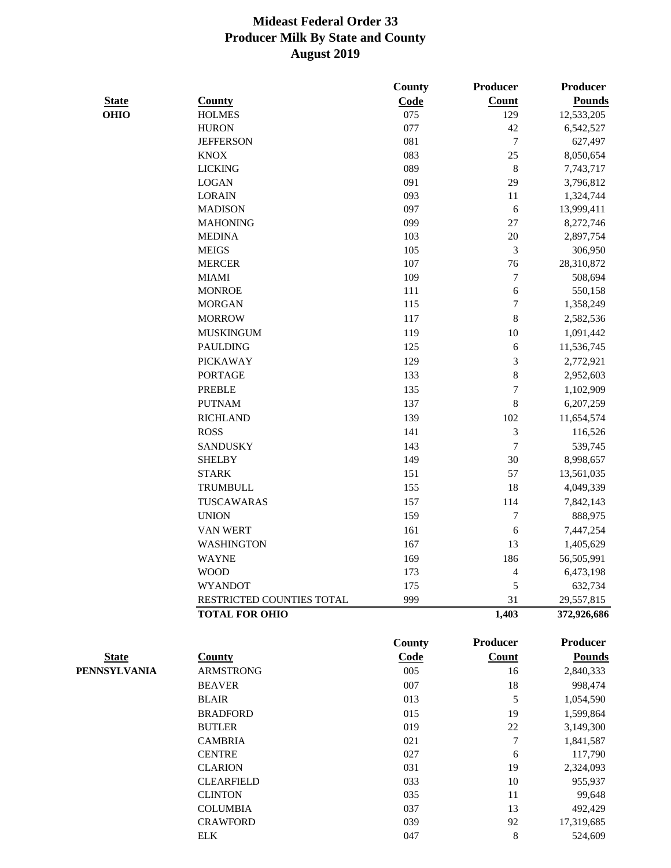|              |                           | County        | Producer         | Producer        |
|--------------|---------------------------|---------------|------------------|-----------------|
| <b>State</b> | <b>County</b>             | Code          | <b>Count</b>     | <b>Pounds</b>   |
| <b>OHIO</b>  | <b>HOLMES</b>             | 075           | 129              | 12,533,205      |
|              | <b>HURON</b>              | 077           | 42               | 6,542,527       |
|              | <b>JEFFERSON</b>          | 081           | $\tau$           | 627,497         |
|              | <b>KNOX</b>               | 083           | 25               | 8,050,654       |
|              | <b>LICKING</b>            | 089           | $\,8\,$          | 7,743,717       |
|              | <b>LOGAN</b>              | 091           | 29               | 3,796,812       |
|              | <b>LORAIN</b>             | 093           | 11               | 1,324,744       |
|              | <b>MADISON</b>            | 097           | 6                | 13,999,411      |
|              | <b>MAHONING</b>           | 099           | 27               | 8,272,746       |
|              | <b>MEDINA</b>             | 103           | 20               | 2,897,754       |
|              | <b>MEIGS</b>              | 105           | $\mathfrak{Z}$   | 306,950         |
|              | <b>MERCER</b>             | 107           | 76               | 28,310,872      |
|              | <b>MIAMI</b>              | 109           | $\boldsymbol{7}$ | 508,694         |
|              | <b>MONROE</b>             | 111           | 6                | 550,158         |
|              | <b>MORGAN</b>             | 115           | $\tau$           | 1,358,249       |
|              | <b>MORROW</b>             | 117           | $\,$ 8 $\,$      | 2,582,536       |
|              | <b>MUSKINGUM</b>          | 119           | 10               | 1,091,442       |
|              | <b>PAULDING</b>           | 125           | $\epsilon$       | 11,536,745      |
|              | <b>PICKAWAY</b>           | 129           | $\mathfrak{Z}$   | 2,772,921       |
|              | <b>PORTAGE</b>            | 133           | 8                | 2,952,603       |
|              | <b>PREBLE</b>             | 135           | 7                | 1,102,909       |
|              | <b>PUTNAM</b>             | 137           | $\,$ 8 $\,$      | 6,207,259       |
|              | <b>RICHLAND</b>           | 139           | 102              | 11,654,574      |
|              | <b>ROSS</b>               | 141           | $\mathfrak{Z}$   | 116,526         |
|              | <b>SANDUSKY</b>           | 143           | $\boldsymbol{7}$ | 539,745         |
|              | <b>SHELBY</b>             | 149           | 30               | 8,998,657       |
|              | <b>STARK</b>              | 151           | 57               | 13,561,035      |
|              | TRUMBULL                  | 155           | 18               | 4,049,339       |
|              | TUSCAWARAS                | 157           | 114              | 7,842,143       |
|              | <b>UNION</b>              | 159           | $\tau$           | 888,975         |
|              | <b>VAN WERT</b>           | 161           | 6                | 7,447,254       |
|              | <b>WASHINGTON</b>         | 167           | 13               | 1,405,629       |
|              | <b>WAYNE</b>              | 169           | 186              | 56,505,991      |
|              | <b>WOOD</b>               | 173           | 4                | 6,473,198       |
|              | <b>WYANDOT</b>            | 175           | 5                | 632,734         |
|              | RESTRICTED COUNTIES TOTAL | 999           | 31               | 29,557,815      |
|              | <b>TOTAL FOR OHIO</b>     |               | 1,403            | 372,926,686     |
|              |                           | <b>County</b> | <b>Producer</b>  | <b>Producer</b> |
| <b>State</b> | <b>County</b>             | Code          | Count            | <b>Pounds</b>   |
| PENNSYLVANIA | <b>ARMSTRONG</b>          | 005           | 16               | 2,840,333       |
|              | <b>BEAVER</b>             | 007           | 18               | 998,474         |
|              | <b>BLAIR</b>              | 013           | 5                | 1,054,590       |
|              | <b>BRADFORD</b>           | 015           | 19               | 1,599,864       |
|              | <b>BUTLER</b>             | 019           | 22               | 3,149,300       |
|              | <b>CAMBRIA</b>            | 021           | $\boldsymbol{7}$ | 1,841,587       |
|              | <b>CENTRE</b>             | 027           | 6                | 117,790         |
|              | <b>CLARION</b>            | 031           | 19               | 2,324,093       |
|              | <b>CLEARFIELD</b>         | 033           | $10\,$           | 955,937         |
|              | <b>CLINTON</b>            | 035           | 11               | 99,648          |
|              |                           |               |                  |                 |

COLUMBIA 037 13 492,429 CRAWFORD 039 92 17,319,685 ELK 8 524,609